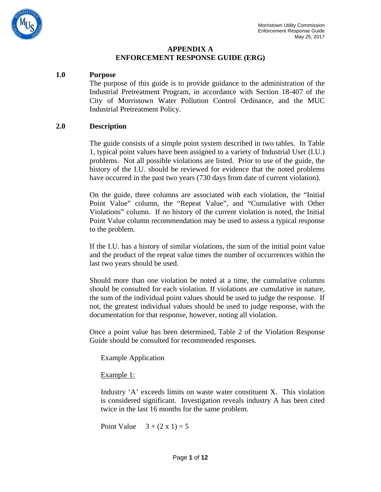

#### **APPENDIX A ENFORCEMENT RESPONSE GUIDE (ERG)**

#### **1.0 Purpose**

The purpose of this guide is to provide guidance to the administration of the Industrial Pretreatment Program, in accordance with Section 18-407 of the City of Morristown Water Pollution Control Ordinance, and the MUC Industrial Pretreatment Policy.

#### **2.0 Description**

The guide consists of a simple point system described in two tables. In Table 1, typical point values have been assigned to a variety of Industrial User (I.U.) problems. Not all possible violations are listed. Prior to use of the guide, the history of the I.U. should be reviewed for evidence that the noted problems have occurred in the past two years (730 days from date of current violation).

On the guide, three columns are associated with each violation, the "Initial Point Value" column, the "Repeat Value", and "Cumulative with Other Violations" column. If no history of the current violation is noted, the Initial Point Value column recommendation may be used to assess a typical response to the problem.

If the I.U. has a history of similar violations, the sum of the initial point value and the product of the repeat value times the number of occurrences within the last two years should be used.

Should more than one violation be noted at a time, the cumulative columns should be consulted for each violation. If violations are cumulative in nature, the sum of the individual point values should be used to judge the response. If not, the greatest individual values should be used to judge response, with the documentation for that response, however, noting all violation.

Once a point value has been determined, Table 2 of the Violation Response Guide should be consulted for recommended responses.

Example Application

#### Example 1:

Industry 'A' exceeds limits on waste water constituent X. This violation is considered significant. Investigation reveals industry A has been cited twice in the last 16 months for the same problem.

Point Value  $3 + (2 \times 1) = 5$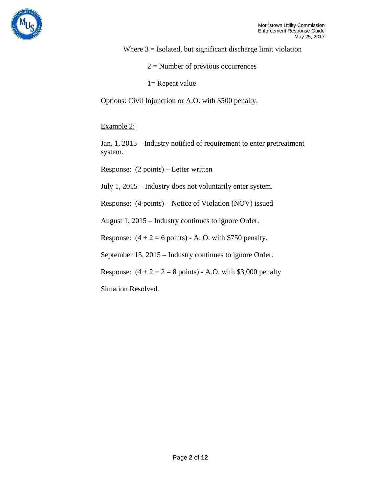

Where  $3 =$  Isolated, but significant discharge limit violation

- $2 =$  Number of previous occurrences
- 1= Repeat value

Options: Civil Injunction or A.O. with \$500 penalty.

Example 2:

Jan. 1, 2015 – Industry notified of requirement to enter pretreatment system.

Response: (2 points) – Letter written

July 1, 2015 – Industry does not voluntarily enter system.

Response: (4 points) – Notice of Violation (NOV) issued

August 1, 2015 – Industry continues to ignore Order.

Response:  $(4 + 2 = 6 \text{ points})$  - A. O. with \$750 penalty.

September 15, 2015 – Industry continues to ignore Order.

Response:  $(4 + 2 + 2 = 8 \text{ points})$  - A.O. with \$3,000 penalty

Situation Resolved.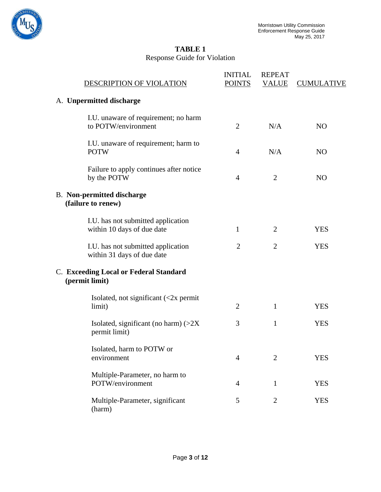

# **TABLE 1** Response Guide for Violation

| DESCRIPTION OF VIOLATION                                         | <b>INITIAL</b><br><b>POINTS</b> | <b>REPEAT</b><br><b>VALUE</b> | <b>CUMULATIVE</b> |
|------------------------------------------------------------------|---------------------------------|-------------------------------|-------------------|
| A. Unpermitted discharge                                         |                                 |                               |                   |
| I.U. unaware of requirement; no harm<br>to POTW/environment      | $\overline{2}$                  | N/A                           | N <sub>O</sub>    |
| I.U. unaware of requirement; harm to<br><b>POTW</b>              | $\overline{4}$                  | N/A                           | N <sub>O</sub>    |
| Failure to apply continues after notice<br>by the POTW           | $\overline{4}$                  | $\overline{2}$                | N <sub>O</sub>    |
| <b>B.</b> Non-permitted discharge<br>(failure to renew)          |                                 |                               |                   |
| I.U. has not submitted application<br>within 10 days of due date | 1                               | 2                             | <b>YES</b>        |
| I.U. has not submitted application<br>within 31 days of due date | $\overline{2}$                  | $\overline{2}$                | <b>YES</b>        |
| C. Exceeding Local or Federal Standard<br>(permit limit)         |                                 |                               |                   |
| Isolated, not significant $\langle$ <2x permit<br>limit)         | $\overline{2}$                  | 1                             | <b>YES</b>        |
| Isolated, significant (no harm) $(>2X)$<br>permit limit)         | 3                               | $\mathbf{1}$                  | <b>YES</b>        |
| Isolated, harm to POTW or<br>environment                         | $\overline{4}$                  | $\overline{2}$                | <b>YES</b>        |
| Multiple-Parameter, no harm to<br>POTW/environment               | $\overline{4}$                  | $\mathbf{1}$                  | <b>YES</b>        |
| Multiple-Parameter, significant<br>(harm)                        | 5                               | $\overline{2}$                | <b>YES</b>        |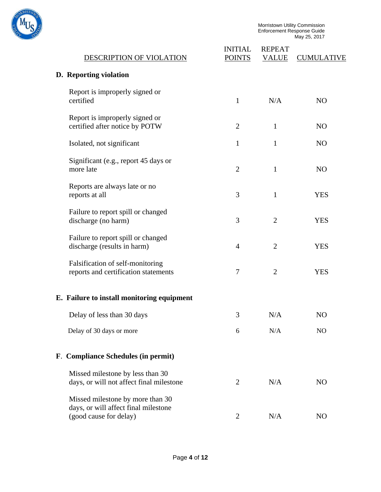

| DESCRIPTION OF VIOLATION                                                     | <b>INITIAL</b><br><b>POINTS</b> | <b>REPEAT</b><br><b>VALUE</b> | <b>CUMULATIVE</b> |
|------------------------------------------------------------------------------|---------------------------------|-------------------------------|-------------------|
| D. Reporting violation                                                       |                                 |                               |                   |
| Report is improperly signed or<br>certified                                  | 1                               | N/A                           | N <sub>O</sub>    |
| Report is improperly signed or<br>certified after notice by POTW             | $\overline{2}$                  | $\mathbf{1}$                  | N <sub>O</sub>    |
| Isolated, not significant                                                    | 1                               | $\mathbf{1}$                  | N <sub>O</sub>    |
| Significant (e.g., report 45 days or<br>more late                            | $\overline{2}$                  | $\mathbf{1}$                  | N <sub>O</sub>    |
| Reports are always late or no<br>reports at all                              | 3                               | $\mathbf{1}$                  | <b>YES</b>        |
| Failure to report spill or changed<br>discharge (no harm)                    | 3                               | $\overline{2}$                | <b>YES</b>        |
| Failure to report spill or changed<br>discharge (results in harm)            | $\overline{4}$                  | $\overline{2}$                | <b>YES</b>        |
| Falsification of self-monitoring<br>reports and certification statements     | 7                               | $\overline{2}$                | <b>YES</b>        |
| E. Failure to install monitoring equipment                                   |                                 |                               |                   |
| Delay of less than 30 days                                                   | 3                               | N/A                           | N <sub>O</sub>    |
| Delay of 30 days or more                                                     | 6                               | N/A                           | N <sub>O</sub>    |
| F. Compliance Schedules (in permit)                                          |                                 |                               |                   |
| Missed milestone by less than 30<br>days, or will not affect final milestone | 2                               | N/A                           | N <sub>O</sub>    |
| Missed milestone by more than 30<br>days, or will affect final milestone     |                                 |                               |                   |
| (good cause for delay)                                                       | $\overline{c}$                  | N/A                           | NO                |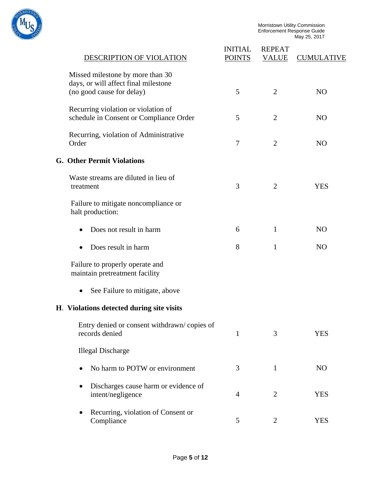

| DESCRIPTION OF VIOLATION                                                                              | <b>INITIAL</b><br><b>POINTS</b> | <b>REPEAT</b><br><b>VALUE</b> | <b>CUMULATIVE</b> |
|-------------------------------------------------------------------------------------------------------|---------------------------------|-------------------------------|-------------------|
| Missed milestone by more than 30<br>days, or will affect final milestone<br>(no good cause for delay) | 5                               | $\overline{2}$                | N <sub>O</sub>    |
| Recurring violation or violation of<br>schedule in Consent or Compliance Order                        | 5                               | $\overline{2}$                | N <sub>O</sub>    |
| Recurring, violation of Administrative<br>Order                                                       | $\overline{7}$                  | $\overline{2}$                | N <sub>O</sub>    |
| <b>G. Other Permit Violations</b>                                                                     |                                 |                               |                   |
| Waste streams are diluted in lieu of<br>treatment                                                     | 3                               | $\overline{2}$                | <b>YES</b>        |
| Failure to mitigate noncompliance or<br>halt production:                                              |                                 |                               |                   |
| Does not result in harm                                                                               | 6                               | $\mathbf{1}$                  | N <sub>O</sub>    |
| Does result in harm                                                                                   | 8                               | 1                             | N <sub>O</sub>    |
| Failure to properly operate and<br>maintain pretreatment facility                                     |                                 |                               |                   |
| See Failure to mitigate, above                                                                        |                                 |                               |                   |
| H. Violations detected during site visits                                                             |                                 |                               |                   |
| Entry denied or consent withdrawn/copies of<br>records denied                                         | 1                               | 3                             | <b>YES</b>        |
| <b>Illegal Discharge</b>                                                                              |                                 |                               |                   |
| No harm to POTW or environment                                                                        | 3                               | $\mathbf{1}$                  | NO                |
| Discharges cause harm or evidence of<br>intent/negligence                                             | $\overline{4}$                  | $\overline{2}$                | <b>YES</b>        |
| Recurring, violation of Consent or<br>Compliance                                                      | 5                               | $\overline{2}$                | <b>YES</b>        |
|                                                                                                       |                                 |                               |                   |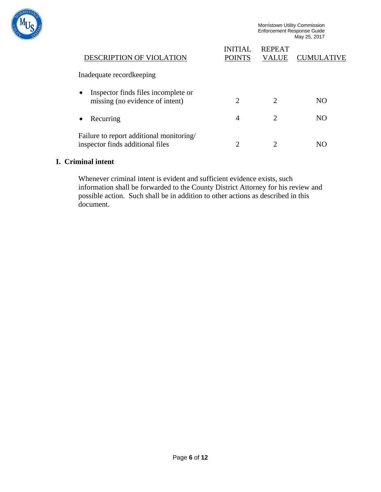

| DESCRIPTION OF VIOLATION                                                            | INITIAI<br><b>POINTS</b> | <b>REPEAT</b><br>VALUE      | <b>CUMULATIVE</b> |
|-------------------------------------------------------------------------------------|--------------------------|-----------------------------|-------------------|
| Inadequate record keeping                                                           |                          |                             |                   |
| Inspector finds files incomplete or<br>$\bullet$<br>missing (no evidence of intent) | റ                        | $\mathcal{D}_{\mathcal{A}}$ | NO.               |
| Recurring<br>$\bullet$                                                              | 4                        | $\mathcal{D}_{\mathcal{L}}$ | NO.               |
| Failure to report additional monitoring/<br>inspector finds additional files        |                          |                             |                   |

#### **I. Criminal intent**

Whenever criminal intent is evident and sufficient evidence exists, such information shall be forwarded to the County District Attorney for his review and possible action. Such shall be in addition to other actions as described in this document.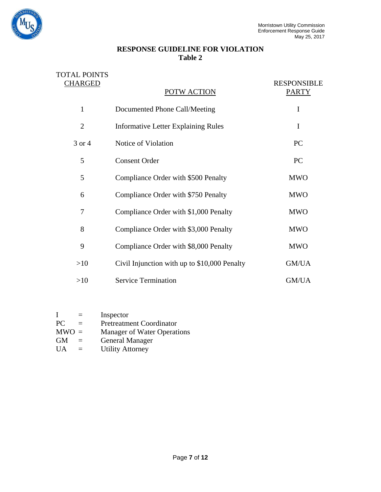

## **RESPONSE GUIDELINE FOR VIOLATION Table 2**

| <b>TOTAL POINTS</b> |                                              |                                    |
|---------------------|----------------------------------------------|------------------------------------|
| <b>CHARGED</b>      | POTW ACTION                                  | <b>RESPONSIBLE</b><br><b>PARTY</b> |
| $\mathbf{1}$        | Documented Phone Call/Meeting                | I                                  |
| $\overline{2}$      | <b>Informative Letter Explaining Rules</b>   | I                                  |
| 3 or 4              | Notice of Violation                          | PC                                 |
| 5                   | <b>Consent Order</b>                         | PC                                 |
| 5                   | Compliance Order with \$500 Penalty          | <b>MWO</b>                         |
| 6                   | Compliance Order with \$750 Penalty          | <b>MWO</b>                         |
| 7                   | Compliance Order with \$1,000 Penalty        | <b>MWO</b>                         |
| 8                   | Compliance Order with \$3,000 Penalty        | <b>MWO</b>                         |
| 9                   | Compliance Order with \$8,000 Penalty        | <b>MWO</b>                         |
| >10                 | Civil Injunction with up to \$10,000 Penalty | GM/UA                              |
| >10                 | <b>Service Termination</b>                   | GM/UA                              |

| T         | $=$ | Inspector                       |
|-----------|-----|---------------------------------|
| PC.       | $=$ | <b>Pretreatment Coordinator</b> |
| $MWO =$   |     | Manager of Water Operations     |
| <b>GM</b> |     | <b>General Manager</b>          |
| UA        | $=$ | <b>Utility Attorney</b>         |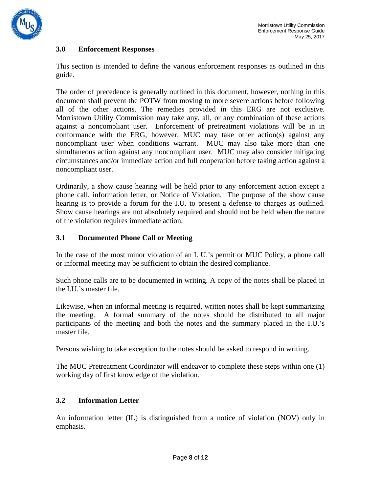

## **3.0 Enforcement Responses**

This section is intended to define the various enforcement responses as outlined in this guide.

The order of precedence is generally outlined in this document, however, nothing in this document shall prevent the POTW from moving to more severe actions before following all of the other actions. The remedies provided in this ERG are not exclusive. Morristown Utility Commission may take any, all, or any combination of these actions against a noncompliant user. Enforcement of pretreatment violations will be in in conformance with the ERG, however, MUC may take other action(s) against any noncompliant user when conditions warrant. MUC may also take more than one simultaneous action against any noncompliant user. MUC may also consider mitigating circumstances and/or immediate action and full cooperation before taking action against a noncompliant user.

Ordinarily, a show cause hearing will be held prior to any enforcement action except a phone call, information letter, or Notice of Violation. The purpose of the show cause hearing is to provide a forum for the I.U. to present a defense to charges as outlined. Show cause hearings are not absolutely required and should not be held when the nature of the violation requires immediate action.

## **3.1 Documented Phone Call or Meeting**

In the case of the most minor violation of an I. U.'s permit or MUC Policy, a phone call or informal meeting may be sufficient to obtain the desired compliance.

Such phone calls are to be documented in writing. A copy of the notes shall be placed in the I.U.'s master file.

Likewise, when an informal meeting is required, written notes shall be kept summarizing the meeting. A formal summary of the notes should be distributed to all major participants of the meeting and both the notes and the summary placed in the I.U.'s master file.

Persons wishing to take exception to the notes should be asked to respond in writing.

The MUC Pretreatment Coordinator will endeavor to complete these steps within one (1) working day of first knowledge of the violation.

## **3.2 Information Letter**

An information letter (IL) is distinguished from a notice of violation (NOV) only in emphasis.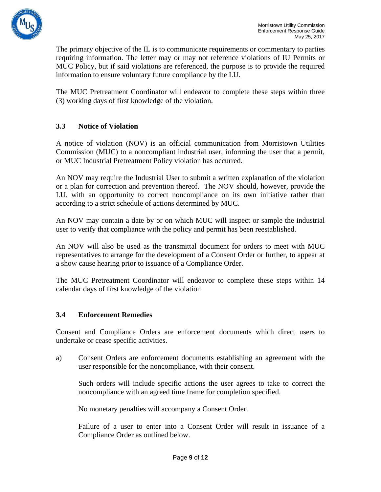

The primary objective of the IL is to communicate requirements or commentary to parties requiring information. The letter may or may not reference violations of IU Permits or MUC Policy, but if said violations are referenced, the purpose is to provide the required information to ensure voluntary future compliance by the I.U.

The MUC Pretreatment Coordinator will endeavor to complete these steps within three (3) working days of first knowledge of the violation.

# **3.3 Notice of Violation**

A notice of violation (NOV) is an official communication from Morristown Utilities Commission (MUC) to a noncompliant industrial user, informing the user that a permit, or MUC Industrial Pretreatment Policy violation has occurred.

An NOV may require the Industrial User to submit a written explanation of the violation or a plan for correction and prevention thereof. The NOV should, however, provide the I.U. with an opportunity to correct noncompliance on its own initiative rather than according to a strict schedule of actions determined by MUC.

An NOV may contain a date by or on which MUC will inspect or sample the industrial user to verify that compliance with the policy and permit has been reestablished.

An NOV will also be used as the transmittal document for orders to meet with MUC representatives to arrange for the development of a Consent Order or further, to appear at a show cause hearing prior to issuance of a Compliance Order.

The MUC Pretreatment Coordinator will endeavor to complete these steps within 14 calendar days of first knowledge of the violation

## **3.4 Enforcement Remedies**

Consent and Compliance Orders are enforcement documents which direct users to undertake or cease specific activities.

a) Consent Orders are enforcement documents establishing an agreement with the user responsible for the noncompliance, with their consent.

Such orders will include specific actions the user agrees to take to correct the noncompliance with an agreed time frame for completion specified.

No monetary penalties will accompany a Consent Order.

Failure of a user to enter into a Consent Order will result in issuance of a Compliance Order as outlined below.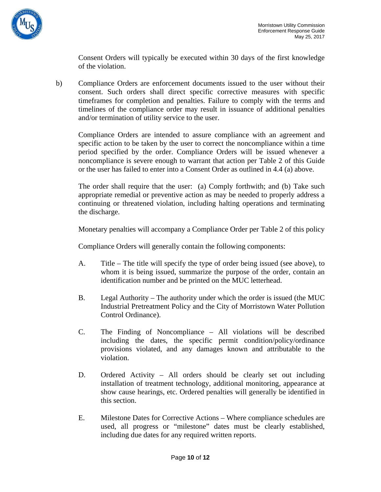

Consent Orders will typically be executed within 30 days of the first knowledge of the violation.

b) Compliance Orders are enforcement documents issued to the user without their consent. Such orders shall direct specific corrective measures with specific timeframes for completion and penalties. Failure to comply with the terms and timelines of the compliance order may result in issuance of additional penalties and/or termination of utility service to the user.

Compliance Orders are intended to assure compliance with an agreement and specific action to be taken by the user to correct the noncompliance within a time period specified by the order. Compliance Orders will be issued whenever a noncompliance is severe enough to warrant that action per Table 2 of this Guide or the user has failed to enter into a Consent Order as outlined in 4.4 (a) above.

The order shall require that the user: (a) Comply forthwith; and (b) Take such appropriate remedial or preventive action as may be needed to properly address a continuing or threatened violation, including halting operations and terminating the discharge.

Monetary penalties will accompany a Compliance Order per Table 2 of this policy

Compliance Orders will generally contain the following components:

- A. Title The title will specify the type of order being issued (see above), to whom it is being issued, summarize the purpose of the order, contain an identification number and be printed on the MUC letterhead.
- B. Legal Authority The authority under which the order is issued (the MUC Industrial Pretreatment Policy and the City of Morristown Water Pollution Control Ordinance).
- C. The Finding of Noncompliance All violations will be described including the dates, the specific permit condition/policy/ordinance provisions violated, and any damages known and attributable to the violation.
- D. Ordered Activity All orders should be clearly set out including installation of treatment technology, additional monitoring, appearance at show cause hearings, etc. Ordered penalties will generally be identified in this section.
- E. Milestone Dates for Corrective Actions Where compliance schedules are used, all progress or "milestone" dates must be clearly established, including due dates for any required written reports.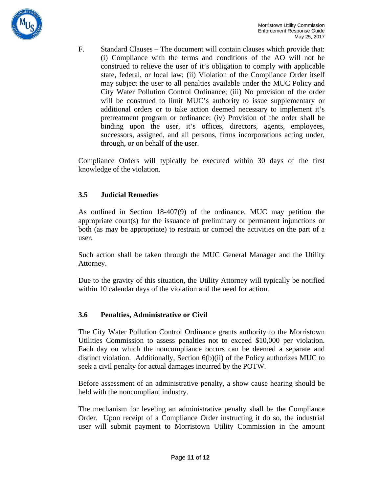

F. Standard Clauses – The document will contain clauses which provide that: (i) Compliance with the terms and conditions of the AO will not be construed to relieve the user of it's obligation to comply with applicable state, federal, or local law; (ii) Violation of the Compliance Order itself may subject the user to all penalties available under the MUC Policy and City Water Pollution Control Ordinance; (iii) No provision of the order will be construed to limit MUC's authority to issue supplementary or additional orders or to take action deemed necessary to implement it's pretreatment program or ordinance; (iv) Provision of the order shall be binding upon the user, it's offices, directors, agents, employees, successors, assigned, and all persons, firms incorporations acting under, through, or on behalf of the user.

Compliance Orders will typically be executed within 30 days of the first knowledge of the violation.

## **3.5 Judicial Remedies**

As outlined in Section 18-407(9) of the ordinance, MUC may petition the appropriate court(s) for the issuance of preliminary or permanent injunctions or both (as may be appropriate) to restrain or compel the activities on the part of a user.

Such action shall be taken through the MUC General Manager and the Utility Attorney.

Due to the gravity of this situation, the Utility Attorney will typically be notified within 10 calendar days of the violation and the need for action.

## **3.6 Penalties, Administrative or Civil**

The City Water Pollution Control Ordinance grants authority to the Morristown Utilities Commission to assess penalties not to exceed \$10,000 per violation. Each day on which the noncompliance occurs can be deemed a separate and distinct violation. Additionally, Section 6(b)(ii) of the Policy authorizes MUC to seek a civil penalty for actual damages incurred by the POTW.

Before assessment of an administrative penalty, a show cause hearing should be held with the noncompliant industry.

The mechanism for leveling an administrative penalty shall be the Compliance Order. Upon receipt of a Compliance Order instructing it do so, the industrial user will submit payment to Morristown Utility Commission in the amount